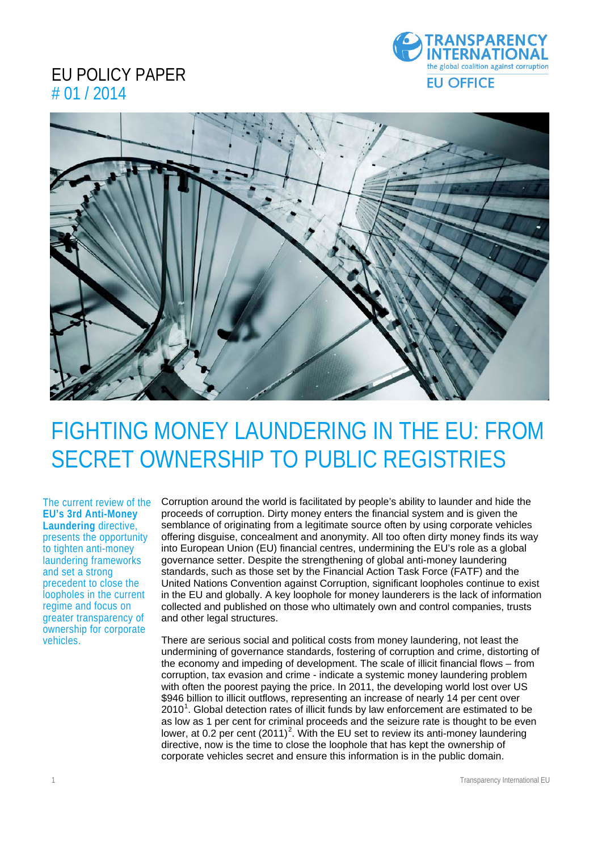### EU POLICY PAPER # 01 / 2014





# FIGHTING MONEY LAUNDERING IN THE EU: FROM SECRET OWNERSHIP TO PUBLIC REGISTRIES

The current review of the **EU's 3rd Anti-Money Laundering** directive, presents the opportunity to tighten anti-money laundering frameworks and set a strong precedent to close the loopholes in the current regime and focus on greater transparency of ownership for corporate vehicles.

Corruption around the world is facilitated by people's ability to launder and hide the proceeds of corruption. Dirty money enters the financial system and is given the semblance of originating from a legitimate source often by using corporate vehicles offering disguise, concealment and anonymity. All too often dirty money finds its way into European Union (EU) financial centres, undermining the EU's role as a global governance setter. Despite the strengthening of global anti-money laundering standards, such as those set by the Financial Action Task Force (FATF) and the United Nations Convention against Corruption, significant loopholes continue to exist in the EU and globally. A key loophole for money launderers is the lack of information collected and published on those who ultimately own and control companies, trusts and other legal structures.

There are serious social and political costs from money laundering, not least the undermining of governance standards, fostering of corruption and crime, distorting of the economy and impeding of development. The scale of illicit financial flows – from corruption, tax evasion and crime - indicate a systemic money laundering problem with often the poorest paying the price. In 2011, the developing world lost over US \$946 billion to illicit outflows, representing an increase of nearly 14 per cent over  $2010<sup>1</sup>$  $2010<sup>1</sup>$  $2010<sup>1</sup>$ . Global detection rates of illicit funds by law enforcement are estimated to be as low as 1 per cent for criminal proceeds and the seizure rate is thought to be even lower, at 0.[2](#page-2-1) per cent  $(2011)^2$ . With the EU set to review its anti-money laundering directive, now is the time to close the loophole that has kept the ownership of corporate vehicles secret and ensure this information is in the public domain.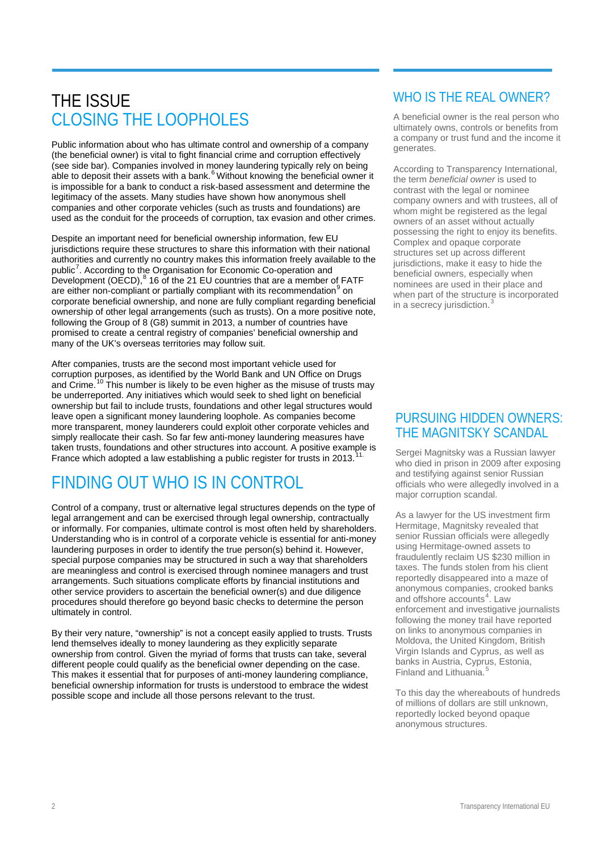## THE ISSUE CLOSING THE LOOPHOLES

Public information about who has ultimate control and ownership of a company (the beneficial owner) is vital to fight financial crime and corruption effectively (see side bar). Companies involved in money laundering typically rely on being able to deposit their assets with a bank. $6$  Without knowing the beneficial owner it is impossible for a bank to conduct a risk-based assessment and determine the legitimacy of the assets. Many studies have shown how anonymous shell companies and other corporate vehicles (such as trusts and foundations) are used as the conduit for the proceeds of corruption, tax evasion and other crimes.

Despite an important need for beneficial ownership information, few EU jurisdictions require these structures to share this information with their national authorities and currently no country makes this information freely available to the public<sup>[7](#page-3-1)</sup>. According to the Organisation for Economic Co-operation and Development (OECD),<sup>[8](#page-3-2)</sup> 16 of the 21 EU countries that are a member of FATF are either non-compliant or partially compliant with its recommendation<sup>[9](#page-3-3)</sup> on corporate beneficial ownership, and none are fully compliant regarding beneficial ownership of other legal arrangements (such as trusts). On a more positive note, following the Group of 8 (G8) summit in 2013, a number of countries have promised to create a central registry of companies' beneficial ownership and many of the UK's overseas territories may follow suit.

After companies, trusts are the second most important vehicle used for corruption purposes, as identified by the World Bank and UN Office on Drugs and Crime.<sup>[10](#page-3-4)</sup> This number is likely to be even higher as the misuse of trusts may be underreported. Any initiatives which would seek to shed light on beneficial ownership but fail to include trusts, foundations and other legal structures would leave open a significant money laundering loophole. As companies become more transparent, money launderers could exploit other corporate vehicles and simply reallocate their cash. So far few anti-money laundering measures have taken trusts, foundations and other structures into account. A positive example is France which adopted a law establishing a public register for trusts in 2013.<sup>[11](#page-3-5)</sup>

## FINDING OUT WHO IS IN CONTROL

Control of a company, trust or alternative legal structures depends on the type of legal arrangement and can be exercised through legal ownership, contractually or informally. For companies, ultimate control is most often held by shareholders. Understanding who is in control of a corporate vehicle is essential for anti-money laundering purposes in order to identify the true person(s) behind it. However, special purpose companies may be structured in such a way that shareholders are meaningless and control is exercised through nominee managers and trust arrangements. Such situations complicate efforts by financial institutions and other service providers to ascertain the beneficial owner(s) and due diligence procedures should therefore go beyond basic checks to determine the person ultimately in control.

By their very nature, "ownership" is not a concept easily applied to trusts. Trusts lend themselves ideally to money laundering as they explicitly separate ownership from control. Given the myriad of forms that trusts can take, several different people could qualify as the beneficial owner depending on the case. This makes it essential that for purposes of anti-money laundering compliance, beneficial ownership information for trusts is understood to embrace the widest possible scope and include all those persons relevant to the trust.

### WHO IS THE REAL OWNER?

A beneficial owner is the real person who ultimately owns, controls or benefits from a company or trust fund and the income it generates.

According to Transparency International, the term *beneficial owner* is used to contrast with the legal or nominee company owners and with trustees, all of whom might be registered as the legal owners of an asset without actually possessing the right to enjoy its benefits. Complex and opaque corporate structures set up across different jurisdictions, make it easy to hide the beneficial owners, especially when nominees are used in their place and when part of the structure is incorporated in a secrecy jurisdiction.<sup>[3](#page-3-6)</sup>  $\overline{a}$ 

### PURSUING HIDDEN OWNERS: THE MAGNITSKY SCANDAL

Sergei Magnitsky was a Russian lawyer who died in prison in 2009 after exposing and testifying against senior Russian officials who were allegedly involved in a major corruption scandal.

As a lawyer for the US investment firm Hermitage, Magnitsky revealed that senior Russian officials were allegedly using Hermitage-owned assets to fraudulently reclaim US \$230 million in taxes. The funds stolen from his client reportedly disappeared into a maze of anonymous companies, crooked banks and offshore accounts<sup>[4](#page-3-7)</sup>. Law enforcement and investigative journalists following the money trail have reported on links to anonymous companies in Moldova, the United Kingdom, British Virgin Islands and Cyprus, as well as banks in Austria, Cyprus, Estonia, Finland and Lithuania.<sup>4</sup>

To this day the whereabouts of hundreds of millions of dollars are still unknown, reportedly locked beyond opaque anonymous structures.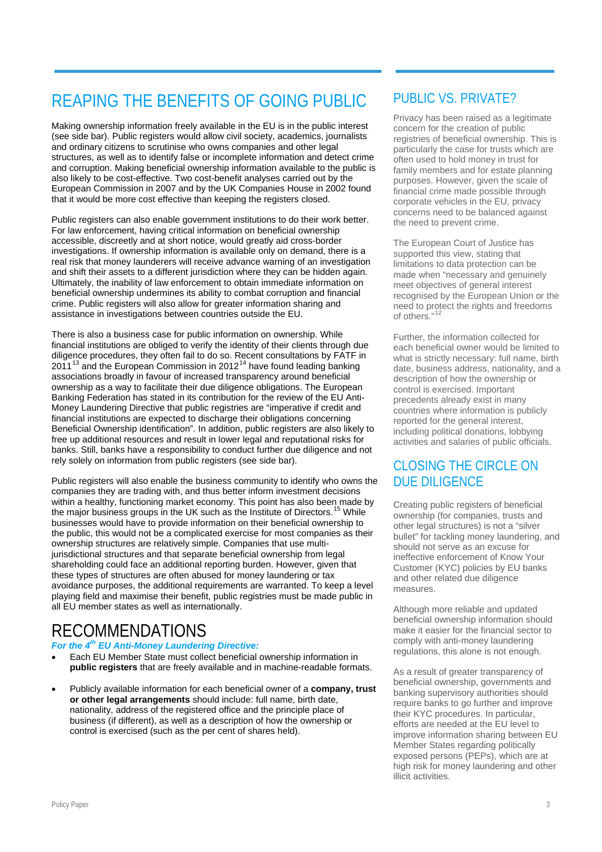## REAPING THE BENEFITS OF GOING PUBLIC

Making ownership information freely available in the EU is in the public interest (see side bar). Public registers would allow civil society, academics, journalists and ordinary citizens to scrutinise who owns companies and other legal structures, as well as to identify false or incomplete information and detect crime and corruption. Making beneficial ownership information available to the public is also likely to be cost-effective. Two cost-benefit analyses carried out by the European Commission in 2007 and by the UK Companies House in 2002 found that it would be more cost effective than keeping the registers closed.

Public registers can also enable government institutions to do their work better. For law enforcement, having critical information on beneficial ownership accessible, discreetly and at short notice, would greatly aid cross-border investigations. If ownership information is available only on demand, there is a real risk that money launderers will receive advance warning of an investigation and shift their assets to a different jurisdiction where they can be hidden again. Ultimately, the inability of law enforcement to obtain immediate information on beneficial ownership undermines its ability to combat corruption and financial crime. Public registers will also allow for greater information sharing and assistance in investigations between countries outside the EU.

There is also a business case for public information on ownership. While financial institutions are obliged to verify the identity of their clients through due diligence procedures, they often fail to do so. Recent consultations by FATF in 2011<sup>[13](#page-3-9)</sup> and the European Commission in 2012<sup>[14](#page-3-10)</sup> have found leading banking associations broadly in favour of increased transparency around beneficial ownership as a way to facilitate their due diligence obligations. The European Banking Federation has stated in its contribution for the review of the EU Anti-Money Laundering Directive that public registries are "imperative if credit and financial institutions are expected to discharge their obligations concerning Beneficial Ownership identification". In addition, public registers are also likely to free up additional resources and result in lower legal and reputational risks for banks. Still, banks have a responsibility to conduct further due diligence and not rely solely on information from public registers (see side bar).

<span id="page-2-1"></span><span id="page-2-0"></span>Public registers will also enable the business community to identify who owns the companies they are trading with, and thus better inform investment decisions within a healthy, functioning market economy. This point has also been made by the major business groups in the UK such as the Institute of Directors.<sup>[15](#page-3-11)</sup> While businesses would have to provide information on their beneficial ownership to the public, this would not be a complicated exercise for most companies as their ownership structures are relatively simple. Companies that use multijurisdictional structures and that separate beneficial ownership from legal shareholding could face an additional reporting burden. However, given that these types of structures are often abused for money laundering or tax avoidance purposes, the additional requirements are warranted. To keep a level playing field and maximise their benefit, public registries must be made public in all EU member states as well as internationally.

## RECOMMENDATIONS

#### *For the 4th EU Anti-Money Laundering Directive:*

- Each EU Member State must collect beneficial ownership information in **public registers** that are freely available and in machine-readable formats.
- Publicly available information for each beneficial owner of a **company, trust or other legal arrangements** should include: full name, birth date, nationality, address of the registered office and the principle place of business (if different), as well as a description of how the ownership or control is exercised (such as the per cent of shares held).

### PUBLIC VS. PRIVATE?

Privacy has been raised as a legitimate concern for the creation of public registries of beneficial ownership. This is particularly the case for trusts which are often used to hold money in trust for family members and for estate planning purposes. However, given the scale of financial crime made possible through corporate vehicles in the EU, privacy concerns need to be balanced against the need to prevent crime.

The European Court of Justice has supported this view, stating that limitations to data protection can be made when "necessary and genuinely meet objectives of general interest recognised by the European Union or the need to protect the rights and freedoms of others."

Further, the information collected for each beneficial owner would be limited to what is strictly necessary: full name, birth date, business address, nationality, and a description of how the ownership or control is exercised. Important precedents already exist in many countries where information is publicly reported for the general interest, including political donations, lobbying activities and salaries of public officials.

### CLOSING THE CIRCLE ON DUE DILIGENCE

Creating public registers of beneficial ownership (for companies, trusts and other legal structures) is not a "silver bullet" for tackling money laundering, and should not serve as an excuse for ineffective enforcement of Know Your Customer (KYC) policies by EU banks and other related due diligence measures.

Although more reliable and updated beneficial ownership information should make it easier for the financial sector to comply with anti-money laundering regulations, this alone is not enough.

As a result of greater transparency of beneficial ownership, governments and banking supervisory authorities should require banks to go further and improve their KYC procedures. In particular, efforts are needed at the EU level to improve information sharing between EU Member States regarding politically exposed persons (PEPs), which are at high risk for money laundering and other illicit activities.